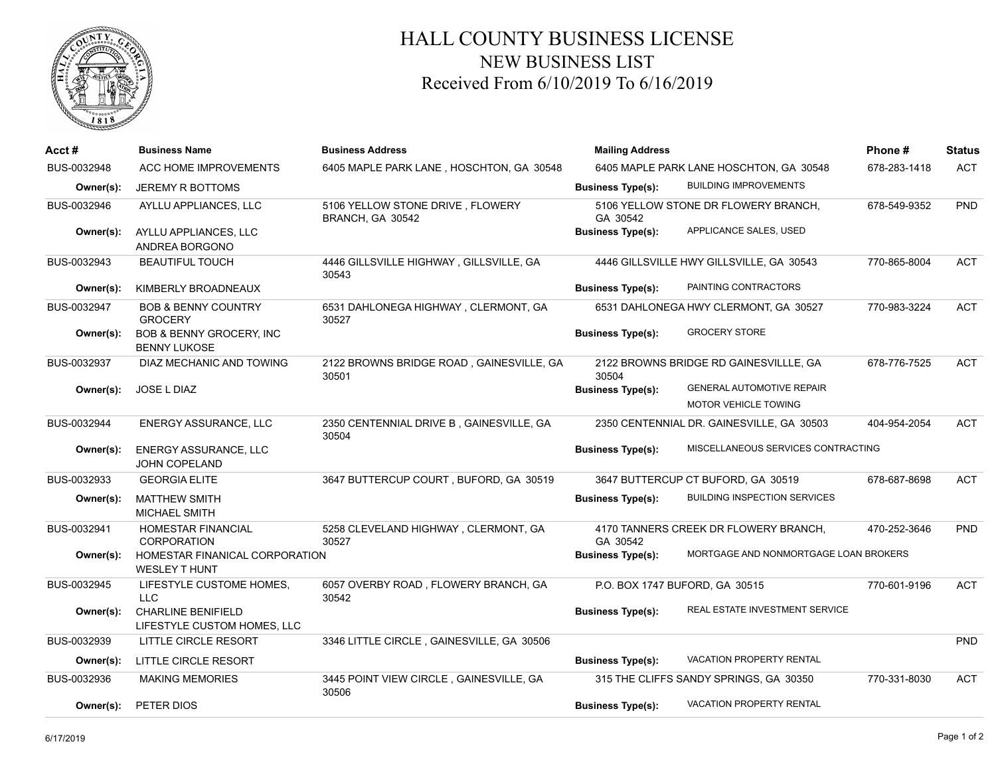

## HALL COUNTY BUSINESS LICENSE NEW BUSINESS LIST Received From 6/10/2019 To 6/16/2019

| Acct#       | <b>Business Name</b>                                     | <b>Business Address</b>                              | <b>Mailing Address</b>                  |                                           | Phone#       | <b>Status</b> |
|-------------|----------------------------------------------------------|------------------------------------------------------|-----------------------------------------|-------------------------------------------|--------------|---------------|
| BUS-0032948 | ACC HOME IMPROVEMENTS                                    | 6405 MAPLE PARK LANE, HOSCHTON, GA 30548             | 6405 MAPLE PARK LANE HOSCHTON, GA 30548 |                                           | 678-283-1418 | <b>ACT</b>    |
| Owner(s):   | JEREMY R BOTTOMS                                         |                                                      | <b>Business Type(s):</b>                | <b>BUILDING IMPROVEMENTS</b>              |              |               |
| BUS-0032946 | AYLLU APPLIANCES, LLC                                    | 5106 YELLOW STONE DRIVE, FLOWERY<br>BRANCH, GA 30542 | GA 30542                                | 5106 YELLOW STONE DR FLOWERY BRANCH,      | 678-549-9352 | <b>PND</b>    |
| Owner(s):   | AYLLU APPLIANCES, LLC<br>ANDREA BORGONO                  |                                                      | <b>Business Type(s):</b>                | APPLICANCE SALES, USED                    |              |               |
| BUS-0032943 | <b>BEAUTIFUL TOUCH</b>                                   | 4446 GILLSVILLE HIGHWAY, GILLSVILLE, GA<br>30543     |                                         | 4446 GILLSVILLE HWY GILLSVILLE, GA 30543  | 770-865-8004 | <b>ACT</b>    |
| Owner(s):   | KIMBERLY BROADNEAUX                                      |                                                      | <b>Business Type(s):</b>                | PAINTING CONTRACTORS                      |              |               |
| BUS-0032947 | <b>BOB &amp; BENNY COUNTRY</b><br><b>GROCERY</b>         | 6531 DAHLONEGA HIGHWAY, CLERMONT, GA<br>30527        |                                         | 6531 DAHLONEGA HWY CLERMONT, GA 30527     | 770-983-3224 | <b>ACT</b>    |
| Owner(s):   | BOB & BENNY GROCERY, INC<br><b>BENNY LUKOSE</b>          |                                                      | <b>Business Type(s):</b>                | <b>GROCERY STORE</b>                      |              |               |
| BUS-0032937 | DIAZ MECHANIC AND TOWING                                 | 2122 BROWNS BRIDGE ROAD, GAINESVILLE, GA<br>30501    | 30504                                   | 2122 BROWNS BRIDGE RD GAINESVILLLE, GA    | 678-776-7525 | <b>ACT</b>    |
| Owner(s):   | JOSE L DIAZ                                              |                                                      | <b>Business Type(s):</b>                | <b>GENERAL AUTOMOTIVE REPAIR</b>          |              |               |
|             |                                                          |                                                      |                                         | MOTOR VEHICLE TOWING                      |              |               |
| BUS-0032944 | ENERGY ASSURANCE, LLC                                    | 2350 CENTENNIAL DRIVE B, GAINESVILLE, GA<br>30504    |                                         | 2350 CENTENNIAL DR. GAINESVILLE, GA 30503 | 404-954-2054 | <b>ACT</b>    |
| Owner(s):   | <b>ENERGY ASSURANCE, LLC</b><br><b>JOHN COPELAND</b>     |                                                      | <b>Business Type(s):</b>                | MISCELLANEOUS SERVICES CONTRACTING        |              |               |
| BUS-0032933 | <b>GEORGIA ELITE</b>                                     | 3647 BUTTERCUP COURT, BUFORD, GA 30519               |                                         | 3647 BUTTERCUP CT BUFORD, GA 30519        | 678-687-8698 | <b>ACT</b>    |
| Owner(s):   | <b>MATTHEW SMITH</b><br><b>MICHAEL SMITH</b>             |                                                      | <b>Business Type(s):</b>                | <b>BUILDING INSPECTION SERVICES</b>       |              |               |
| BUS-0032941 | <b>HOMESTAR FINANCIAL</b><br><b>CORPORATION</b>          | 5258 CLEVELAND HIGHWAY, CLERMONT, GA<br>30527        | GA 30542                                | 4170 TANNERS CREEK DR FLOWERY BRANCH,     | 470-252-3646 | PND           |
| Owner(s):   | HOMESTAR FINANICAL CORPORATION<br><b>WESLEY T HUNT</b>   |                                                      | <b>Business Type(s):</b>                | MORTGAGE AND NONMORTGAGE LOAN BROKERS     |              |               |
| BUS-0032945 | LIFESTYLE CUSTOME HOMES,<br><b>LLC</b>                   | 6057 OVERBY ROAD, FLOWERY BRANCH, GA<br>30542        | P.O. BOX 1747 BUFORD, GA 30515          |                                           | 770-601-9196 | <b>ACT</b>    |
| Owner(s):   | <b>CHARLINE BENIFIELD</b><br>LIFESTYLE CUSTOM HOMES, LLC |                                                      | <b>Business Type(s):</b>                | REAL ESTATE INVESTMENT SERVICE            |              |               |
| BUS-0032939 | LITTLE CIRCLE RESORT                                     | 3346 LITTLE CIRCLE, GAINESVILLE, GA 30506            |                                         |                                           |              | PND           |
| Owner(s):   | LITTLE CIRCLE RESORT                                     |                                                      | <b>Business Type(s):</b>                | VACATION PROPERTY RENTAL                  |              |               |
| BUS-0032936 | <b>MAKING MEMORIES</b>                                   | 3445 POINT VIEW CIRCLE, GAINESVILLE, GA<br>30506     |                                         | 315 THE CLIFFS SANDY SPRINGS, GA 30350    | 770-331-8030 | <b>ACT</b>    |
| Owner(s):   | PETER DIOS                                               |                                                      | <b>Business Type(s):</b>                | <b>VACATION PROPERTY RENTAL</b>           |              |               |